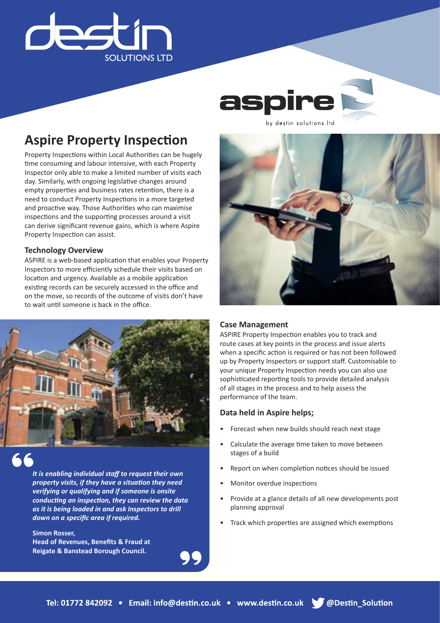

aspire

by destin solutions Itd

## **Aspire Property Inspection**

Property Inspections within Local Authorities can be hugely time consuming and labour intensive, with each Property Inspector only able to make a limited number of visits each day. Similarly, with ongoing legislative changes around empty properties and business rates retention, there is a need to conduct Property Inspections in a more targeted and proactive way. Those Authorities who can maximise inspections and the supporting processes around a visit can derive significant revenue gains, which is where Aspire Property Inspection can assist.

### **Technology Overview**

ASPIRE is a web-based application that enables your Property Inspectors to more efficiently schedule their visits based on location and urgency. Available as a mobile application existing records can be securely accessed in the office and on the move, so records of the outcome of visits don't have to wait until someone is back in the office.



*It is enabling individual staff to request their own property visits, if they have a situation they need verifying or qualifying and if someone is onsite conducting an inspection, they can review the data as it is being loaded in and ask Inspectors to drill down on a specific area if required.* 

**Simon Rosser, Head of Revenues, Benefits & Fraud at Reigate & Banstead Borough Council.**

### **Case Management**

ASPIRE Property Inspection enables you to track and route cases at key points in the process and issue alerts when a specific action is required or has not been followed up by Property Inspectors or support staff. Customisable to your unique Property Inspection needs you can also use sophisticated reporting tools to provide detailed analysis of all stages in the process and to help assess the performance of the team.

### **Data held in Aspire helps;**

- Forecast when new builds should reach next stage
- Calculate the average time taken to move between stages of a build
- Report on when completion notices should be issued
- Monitor overdue inspections
- Provide at a glance details of all new developments post planning approval
- Track which properties are assigned which exemptions